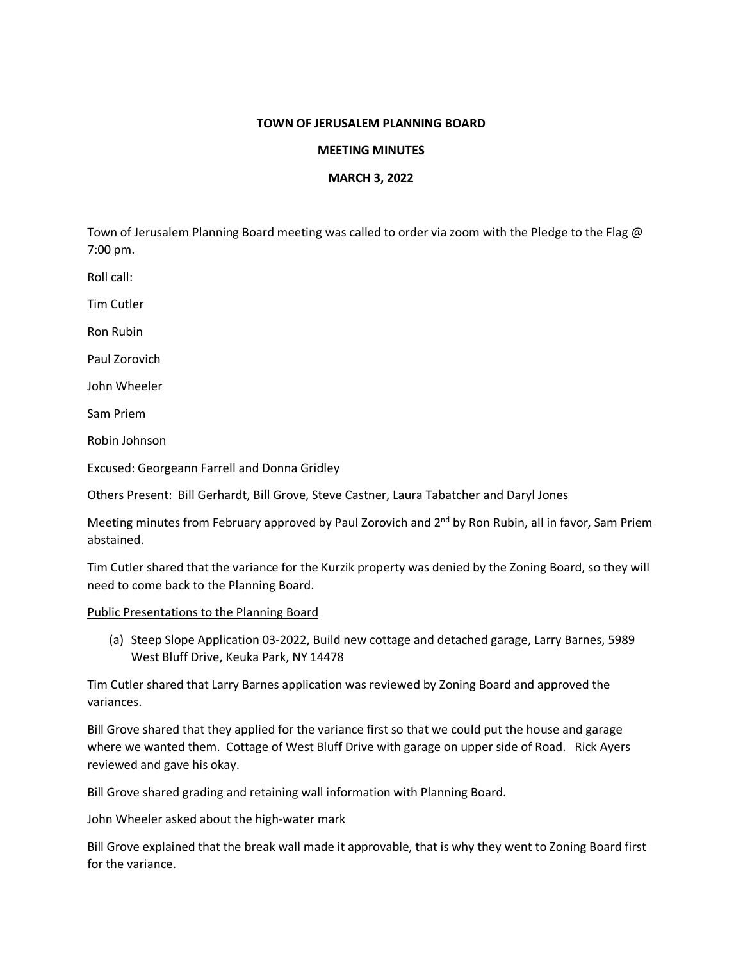## **TOWN OF JERUSALEM PLANNING BOARD**

## **MEETING MINUTES**

## **MARCH 3, 2022**

Town of Jerusalem Planning Board meeting was called to order via zoom with the Pledge to the Flag @ 7:00 pm.

Roll call:

Tim Cutler

Ron Rubin

Paul Zorovich

John Wheeler

Sam Priem

Robin Johnson

Excused: Georgeann Farrell and Donna Gridley

Others Present: Bill Gerhardt, Bill Grove, Steve Castner, Laura Tabatcher and Daryl Jones

Meeting minutes from February approved by Paul Zorovich and 2<sup>nd</sup> by Ron Rubin, all in favor, Sam Priem abstained.

Tim Cutler shared that the variance for the Kurzik property was denied by the Zoning Board, so they will need to come back to the Planning Board.

Public Presentations to the Planning Board

(a) Steep Slope Application 03-2022, Build new cottage and detached garage, Larry Barnes, 5989 West Bluff Drive, Keuka Park, NY 14478

Tim Cutler shared that Larry Barnes application was reviewed by Zoning Board and approved the variances.

Bill Grove shared that they applied for the variance first so that we could put the house and garage where we wanted them. Cottage of West Bluff Drive with garage on upper side of Road. Rick Ayers reviewed and gave his okay.

Bill Grove shared grading and retaining wall information with Planning Board.

John Wheeler asked about the high-water mark

Bill Grove explained that the break wall made it approvable, that is why they went to Zoning Board first for the variance.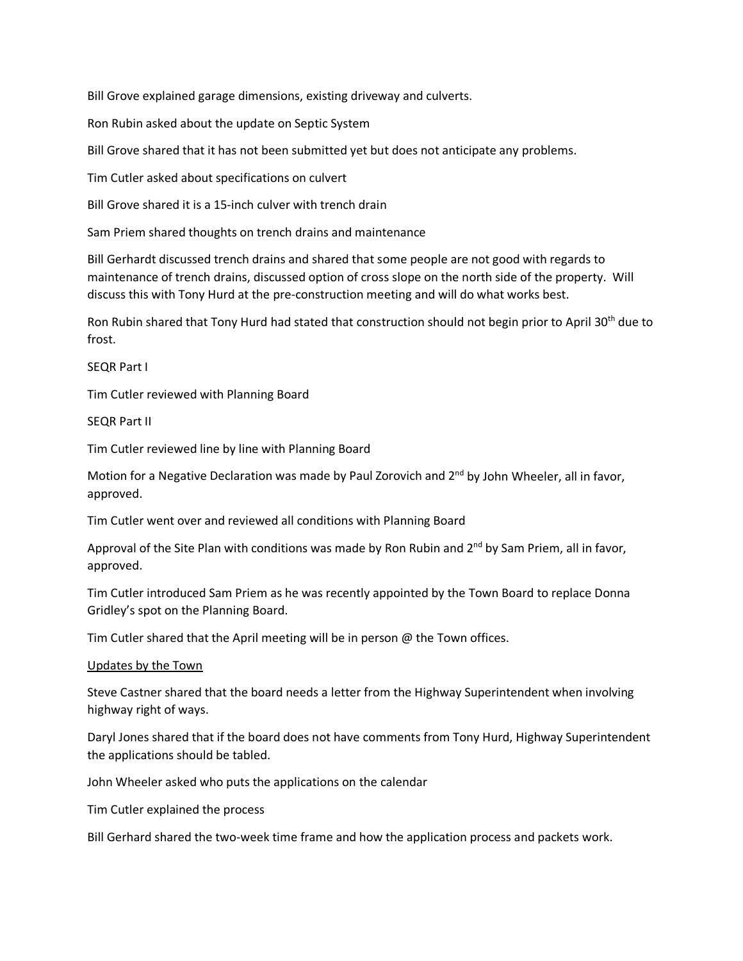Bill Grove explained garage dimensions, existing driveway and culverts.

Ron Rubin asked about the update on Septic System

Bill Grove shared that it has not been submitted yet but does not anticipate any problems.

Tim Cutler asked about specifications on culvert

Bill Grove shared it is a 15-inch culver with trench drain

Sam Priem shared thoughts on trench drains and maintenance

Bill Gerhardt discussed trench drains and shared that some people are not good with regards to maintenance of trench drains, discussed option of cross slope on the north side of the property. Will discuss this with Tony Hurd at the pre-construction meeting and will do what works best.

Ron Rubin shared that Tony Hurd had stated that construction should not begin prior to April 30<sup>th</sup> due to frost.

SEQR Part I

Tim Cutler reviewed with Planning Board

SEQR Part II

Tim Cutler reviewed line by line with Planning Board

Motion for a Negative Declaration was made by Paul Zorovich and  $2<sup>nd</sup>$  by John Wheeler, all in favor, approved.

Tim Cutler went over and reviewed all conditions with Planning Board

Approval of the Site Plan with conditions was made by Ron Rubin and  $2<sup>nd</sup>$  by Sam Priem, all in favor, approved.

Tim Cutler introduced Sam Priem as he was recently appointed by the Town Board to replace Donna Gridley's spot on the Planning Board.

Tim Cutler shared that the April meeting will be in person @ the Town offices.

## Updates by the Town

Steve Castner shared that the board needs a letter from the Highway Superintendent when involving highway right of ways.

Daryl Jones shared that if the board does not have comments from Tony Hurd, Highway Superintendent the applications should be tabled.

John Wheeler asked who puts the applications on the calendar

Tim Cutler explained the process

Bill Gerhard shared the two-week time frame and how the application process and packets work.